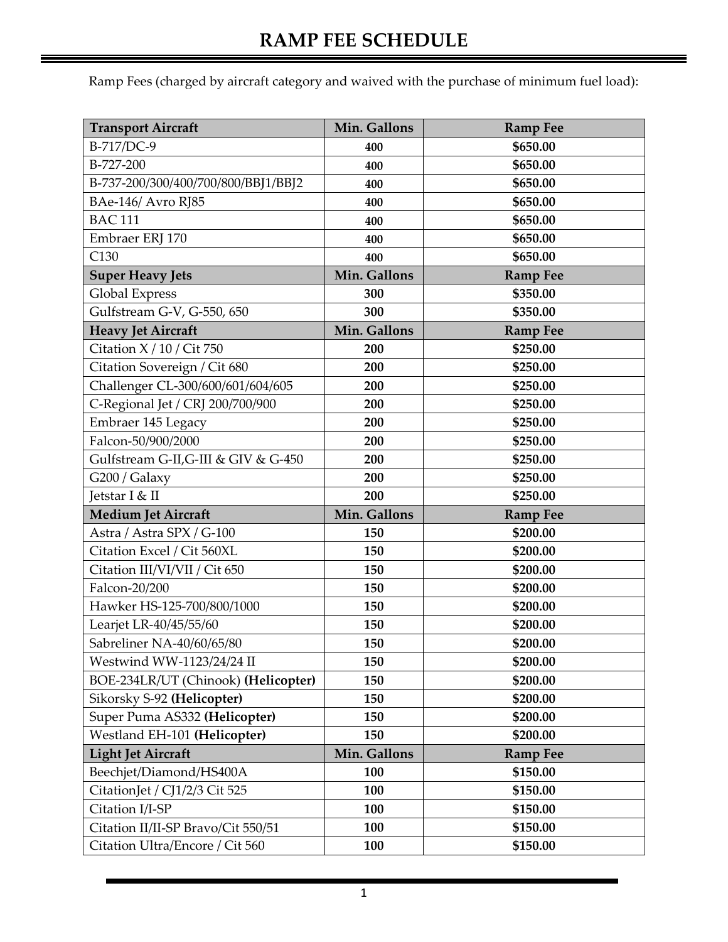Ramp Fees (charged by aircraft category and waived with the purchase of minimum fuel load):

| <b>Transport Aircraft</b>            | Min. Gallons | <b>Ramp Fee</b> |
|--------------------------------------|--------------|-----------------|
| B-717/DC-9                           | 400          | \$650.00        |
| B-727-200                            | 400          | \$650.00        |
| B-737-200/300/400/700/800/BBJ1/BBJ2  | 400          | \$650.00        |
| BAe-146/ Avro RJ85                   | 400          | \$650.00        |
| <b>BAC 111</b>                       | 400          | \$650.00        |
| Embraer ERJ 170                      | 400          | \$650.00        |
| C130                                 | 400          | \$650.00        |
| <b>Super Heavy Jets</b>              | Min. Gallons | <b>Ramp Fee</b> |
| <b>Global Express</b>                | 300          | \$350.00        |
| Gulfstream G-V, G-550, 650           | 300          | \$350.00        |
| <b>Heavy Jet Aircraft</b>            | Min. Gallons | <b>Ramp Fee</b> |
| Citation $X/10$ / Cit 750            | 200          | \$250.00        |
| Citation Sovereign / Cit 680         | 200          | \$250.00        |
| Challenger CL-300/600/601/604/605    | 200          | \$250.00        |
| C-Regional Jet / CRJ 200/700/900     | 200          | \$250.00        |
| Embraer 145 Legacy                   | 200          | \$250.00        |
| Falcon-50/900/2000                   | 200          | \$250.00        |
| Gulfstream G-II, G-III & GIV & G-450 | 200          | \$250.00        |
| G200 / Galaxy                        | 200          | \$250.00        |
| Jetstar I & II                       | 200          | \$250.00        |
| <b>Medium Jet Aircraft</b>           | Min. Gallons | <b>Ramp Fee</b> |
| Astra / Astra SPX / G-100            | 150          | \$200.00        |
| Citation Excel / Cit 560XL           | 150          | \$200.00        |
| Citation III/VI/VII / Cit 650        | 150          | \$200.00        |
| Falcon-20/200                        | 150          | \$200.00        |
| Hawker HS-125-700/800/1000           | 150          | \$200.00        |
| Learjet LR-40/45/55/60               | 150          | \$200.00        |
| Sabreliner NA-40/60/65/80            | 150          | \$200.00        |
| Westwind WW-1123/24/24 II            | 150          | \$200.00        |
| BOE-234LR/UT (Chinook) (Helicopter)  | 150          | \$200.00        |
| Sikorsky S-92 (Helicopter)           | 150          | \$200.00        |
| Super Puma AS332 (Helicopter)        | 150          | \$200.00        |
| Westland EH-101 (Helicopter)         | 150          | \$200.00        |
| <b>Light Jet Aircraft</b>            | Min. Gallons | <b>Ramp Fee</b> |
| Beechjet/Diamond/HS400A              | 100          | \$150.00        |
| CitationJet / CJ1/2/3 Cit 525        | 100          | \$150.00        |
| Citation I/I-SP                      | 100          | \$150.00        |
| Citation II/II-SP Bravo/Cit 550/51   | 100          | \$150.00        |
| Citation Ultra/Encore / Cit 560      | 100          | \$150.00        |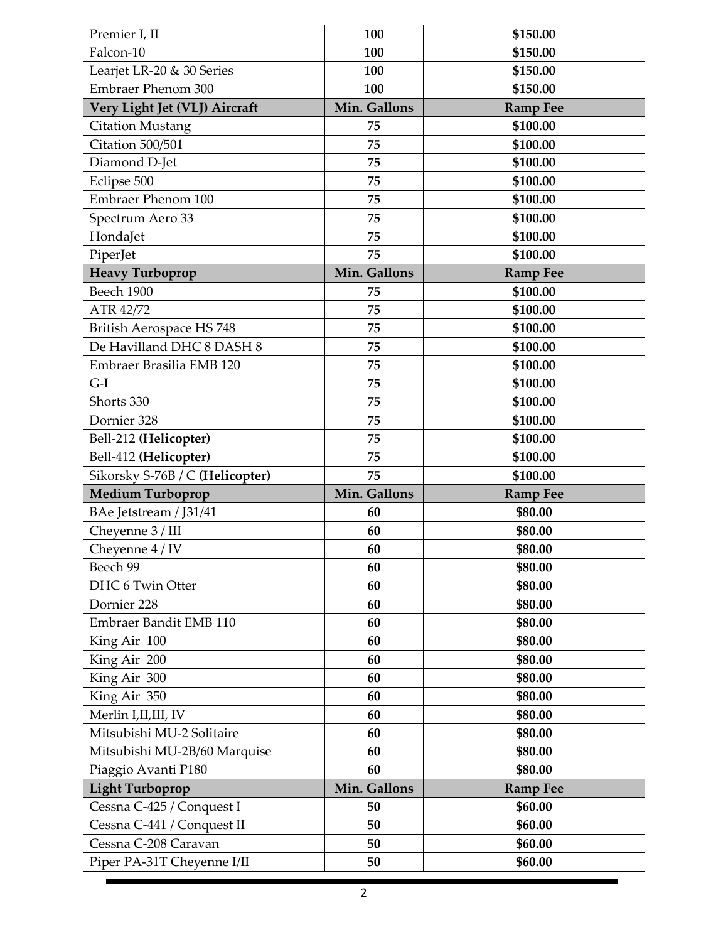| Premier I, II                   | 100          | \$150.00        |
|---------------------------------|--------------|-----------------|
| Falcon-10                       | 100          | \$150.00        |
| Learjet LR-20 & 30 Series       | 100          | \$150.00        |
| <b>Embraer Phenom 300</b>       | 100          | \$150.00        |
| Very Light Jet (VLJ) Aircraft   | Min. Gallons | <b>Ramp Fee</b> |
| <b>Citation Mustang</b>         | 75           | \$100.00        |
| Citation 500/501                | 75           | \$100.00        |
| Diamond D-Jet                   | 75           | \$100.00        |
| Eclipse 500                     | 75           | \$100.00        |
| <b>Embraer Phenom 100</b>       | 75           | \$100.00        |
| Spectrum Aero 33                | 75           | \$100.00        |
| HondaJet                        | 75           | \$100.00        |
| PiperJet                        | 75           | \$100.00        |
| <b>Heavy Turboprop</b>          | Min. Gallons | <b>Ramp Fee</b> |
| Beech 1900                      | 75           | \$100.00        |
| ATR 42/72                       | 75           | \$100.00        |
| British Aerospace HS 748        | 75           | \$100.00        |
| De Havilland DHC 8 DASH 8       | 75           | \$100.00        |
| Embraer Brasilia EMB 120        | 75           | \$100.00        |
| $G-I$                           | 75           | \$100.00        |
| Shorts 330                      | 75           | \$100.00        |
| Dornier 328                     | 75           | \$100.00        |
| Bell-212 (Helicopter)           | 75           | \$100.00        |
| Bell-412 (Helicopter)           | 75           | \$100.00        |
| Sikorsky S-76B / C (Helicopter) | 75           | \$100.00        |
| <b>Medium Turboprop</b>         | Min. Gallons | <b>Ramp Fee</b> |
| BAe Jetstream / J31/41          | 60           | \$80.00         |
| Cheyenne 3 / III                | 60           | \$80.00         |
| Cheyenne 4 / IV                 | 60           | \$80.00         |
| Beech 99                        | 60           | \$80.00         |
| DHC 6 Twin Otter                | 60           | \$80.00         |
| Dornier 228                     | 60           | \$80.00         |
| Embraer Bandit EMB 110          | 60           | \$80.00         |
| King Air 100                    | 60           | \$80.00         |
| King Air 200                    | 60           | \$80.00         |
| King Air 300                    | 60           | \$80.00         |
| King Air 350                    | 60           | \$80.00         |
| Merlin I,II,III, IV             | 60           | \$80.00         |
| Mitsubishi MU-2 Solitaire       | 60           | \$80.00         |
| Mitsubishi MU-2B/60 Marquise    | 60           | \$80.00         |
| Piaggio Avanti P180             | 60           | \$80.00         |
| <b>Light Turboprop</b>          | Min. Gallons | <b>Ramp Fee</b> |
| Cessna C-425 / Conquest I       | 50           | \$60.00         |
| Cessna C-441 / Conquest II      | 50           | \$60.00         |
| Cessna C-208 Caravan            | 50           | \$60.00         |
|                                 |              |                 |